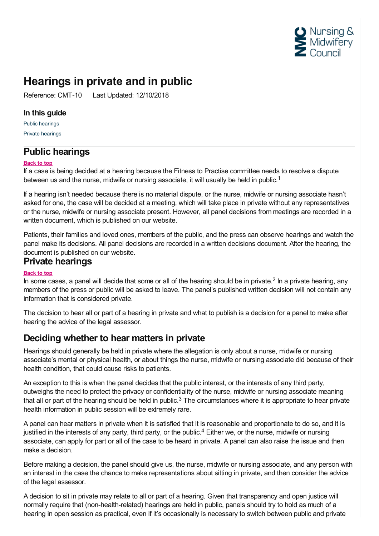

# **Hearings in private and in public**

Reference: CMT-10 Last Updated: 12/10/2018

### **In this guide**

Public [hearings](#page-0-0) Private [hearings](#page-0-1)

## <span id="page-0-0"></span>**Public hearings**

#### **Back to top**

If a case is being decided at a hearing because the Fitness to Practise committee needs to resolve a dispute between us and the nurse, midwife or nursing associate, it will usually be held in public.<sup>1</sup>

If a hearing isn't needed because there is no material dispute, or the nurse, midwife or nursing associate hasn't asked for one, the case will be decided at a meeting, which will take place in private without any representatives or the nurse, midwife or nursing associate present. However, all panel decisions from meetings are recorded in a written document, which is published on our website.

Patients, their families and loved ones, members of the public, and the press can observe hearings and watch the panel make its decisions. All panel decisions are recorded in a written decisions document. After the hearing, the document is published on our website.

## <span id="page-0-1"></span>**Private hearings**

#### **Back to top**

In some cases, a panel will decide that some or all of the hearing should be in private.<sup>2</sup> In a private hearing, any members of the press or public will be asked to leave. The panel's published written decision will not contain any information that is considered private.

The decision to hear all or part of a hearing in private and what to publish is a decision for a panel to make after hearing the advice of the legal assessor.

# **Deciding whether to hear matters in private**

Hearings should generally be held in private where the allegation is only about a nurse, midwife or nursing associate's mental or physical health, or about things the nurse, midwife or nursing associate did because of their health condition, that could cause risks to patients.

An exception to this is when the panel decides that the public interest, or the interests of any third party, outweighs the need to protect the privacy or confidentiality of the nurse, midwife or nursing associate meaning that all or part of the hearing should be held in public.<sup>3</sup> The circumstances where it is appropriate to hear private health information in public session will be extremely rare.

A panel can hear matters in private when it is satisfied that it is reasonable and proportionate to do so, and it is justified in the interests of any party, third party, or the public.<sup>4</sup> Either we, or the nurse, midwife or nursing associate, can apply for part or all of the case to be heard in private. A panel can also raise the issue and then make a decision.

Before making a decision, the panel should give us, the nurse, midwife or nursing associate, and any person with an interest in the case the chance to make representations about sitting in private, and then consider the advice of the legal assessor.

A decision to sit in private may relate to all or part of a hearing. Given that transparency and open justice will normally require that (non-health-related) hearings are held in public, panels should try to hold as much of a hearing in open session as practical, even if it's occasionally is necessary to switch between public and private